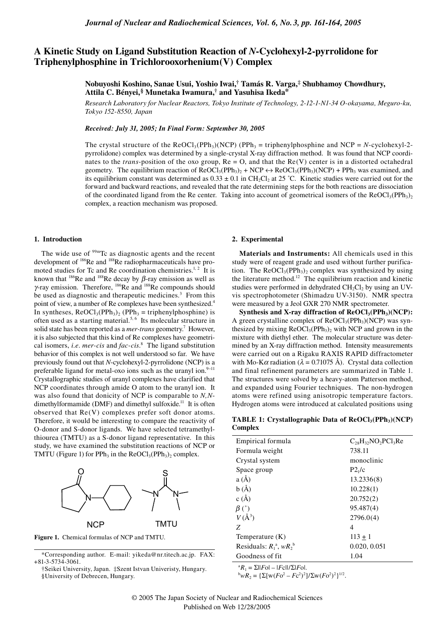# **A Kinetic Study on Ligand Substitution Reaction of** *N***-Cyclohexyl-2-pyrrolidone for Triphenylphosphine in Trichlorooxorhenium(V) Complex**

**Nobuyoshi Koshino, Sanae Usui, Yoshio Iwai,† Tamás R. Varga,‡ Shubhamoy Chowdhury, Attila C. Bényei,§ Munetaka Iwamura,† and Yasuhisa Ikeda\***

*Research Laboratory for Nuclear Reactors, Tokyo Institute of Technology, 2-12-1-N1-34 O-okayama, Meguro-ku, Tokyo 152-8550, Japan*

*Received: July 31, 2005; In Final Form: September 30, 2005*

The crystal structure of the  $ReOCl_3(PPh_3)(NCP)$  (PPh<sub>3</sub> = triphenylphosphine and NCP = *N*-cyclohexyl-2pyrrolidone) complex was determined by a single-crystal X-ray diffraction method. It was found that NCP coordinates to the *trans*-position of the oxo group,  $Re = O$ , and that the  $Re(V)$  center is in a distorted octahedral geometry. The equilibrium reaction of  $ReOCl_3(PPh_3)$  + NCP  $\leftrightarrow$   $ReOCl_3(PPh_3)(NCP)$  + PPh<sub>3</sub> was examined, and its equilibrium constant was determined as  $0.33 \pm 0.1$  in CH<sub>2</sub>Cl<sub>2</sub> at 25 °C. Kinetic studies were carried out for the forward and backward reactions, and revealed that the rate determining steps for the both reactions are dissociation of the coordinated ligand from the Re center. Taking into account of geometrical isomers of the ReOCl<sub>3</sub>(PPh<sub>3)2</sub> complex, a reaction mechanism was proposed.

# **1. Introduction**

The wide use of <sup>99m</sup>Tc as diagnostic agents and the recent development of <sup>186</sup>Re and <sup>188</sup>Re radiopharmaceuticals have promoted studies for Tc and Re coordination chemistries.<sup>1, 2</sup> It is known that <sup>186</sup>Re and <sup>188</sup>Re decay by  $\beta$ -ray emission as well as <sup>γ</sup>-ray emission. Therefore, 186Re and 188Re compounds should be used as diagnostic and therapeutic medicines.<sup>3</sup> From this point of view, a number of Re complexes have been synthesized.<sup>4</sup> In syntheses,  $ReOCl<sub>3</sub>(PPh<sub>3</sub>)<sub>2</sub>$  (PPh<sub>3</sub> = triphenylphosphine) is often used as a starting material.<sup>5, 6</sup> Its molecular structure in solid state has been reported as a *mer-trans* geometry.7 However, it is also subjected that this kind of Re complexes have geometrical isomers, *i.e*. *mer-cis* and *fac-cis*. 8 The ligand substitution behavior of this complex is not well understood so far. We have previously found out that *N*-cyclohexyl-2-pyrrolidone (NCP) is a preferable ligand for metal-oxo ions such as the uranyl ion. $9-11$ Crystallographic studies of uranyl complexes have clarified that NCP coordinates through amide O atom to the uranyl ion. It was also found that donicity of NCP is comparable to *N,N*dimethylformamide (DMF) and dimethyl sulfoxide.<sup>11</sup> It is often observed that Re(V) complexes prefer soft donor atoms. Therefore, it would be interesting to compare the reactivity of O-donor and S-donor ligands. We have selected tetramethylthiourea (TMTU) as a S-donor ligand representative. In this study, we have examined the substitution reactions of NCP or TMTU (Figure 1) for PPh<sub>3</sub> in the ReOCl<sub>3</sub>(PPh<sub>3</sub>)<sub>2</sub> complex.



**Figure 1.** Chemical formulas of NCP and TMTU.

# **2. Experimental**

**Materials and Instruments:** All chemicals used in this study were of reagent grade and used without further purification. The  $Re OCl<sub>3</sub>(PPh<sub>3</sub>)<sub>2</sub>$  complex was synthesized by using the literature method.<sup>12</sup> The equilibrium reaction and kinetic studies were performed in dehydrated  $CH<sub>2</sub>Cl<sub>2</sub>$  by using an UVvis spectrophotometer (Shimadzu UV-3150). NMR spectra were measured by a Jeol GXR 270 NMR spectrometer.

Synthesis and X-ray diffraction of ReOCl<sub>3</sub>(PPh<sub>3</sub>)(NCP): A green crystalline complex of  $ReOCl<sub>3</sub>(PPh<sub>3</sub>)(NCP)$  was synthesized by mixing  $ReOCl<sub>3</sub>(PPh<sub>3</sub>)$ , with NCP and grown in the mixture with diethyl ether. The molecular structure was determined by an X-ray diffraction method. Intensity measurements were carried out on a Rigaku RAXIS RAPID diffractometer with Mo-K $\alpha$  radiation ( $\lambda = 0.71075$  Å). Crystal data collection and final refinement parameters are summarized in Table 1. The structures were solved by a heavy-atom Patterson method, and expanded using Fourier techniques. The non-hydrogen atoms were refined using anisotropic temperature factors. Hydrogen atoms were introduced at calculated positions using

TABLE 1: Crystallographic Data of ReOCl<sub>3</sub>(PPh<sub>3</sub>)(NCP) **Complex**

| Empirical formula             | $C_{28}H_{32}NO_2PCl_3Re$ |
|-------------------------------|---------------------------|
| Formula weight                | 738.11                    |
| Crystal system                | monoclinic                |
| Space group                   | P2 <sub>1</sub> /c        |
| a(A)                          | 13.2336(8)                |
| b(A)                          | 10.228(1)                 |
| c(A)                          | 20.752(2)                 |
| $\beta$ (°)                   | 95.487(4)                 |
| $V(\AA^3)$                    | 2796.0(4)                 |
| Z                             | 4                         |
| Temperature $(K)$             | $113 + 1$                 |
| Residuals: $R_1^a$ , $wR_2^b$ | 0.020, 0.051              |
| Goodness of fit               | 1.04                      |

<sup>a</sup> $R_1 = \Sigma$ ||*F*o| – |*F*c||/Σ|*F*o|.

<sup>b</sup>wR<sub>2</sub> = {Σ[w(*F*o<sup>2</sup> – *F*c<sup>2</sup>)<sup>2</sup>]/Σw(*F*o<sup>2</sup>)<sup>2</sup>}<sup>1/2</sup>.

<sup>\*</sup>Corresponding author. E-mail: yikeda@nr.titech.ac.jp. FAX: +81-3-5734-3061.

<sup>†</sup>Seikei University, Japan. ‡Szent Istvan Univeristy, Hungary. §University of Debrecen, Hungary.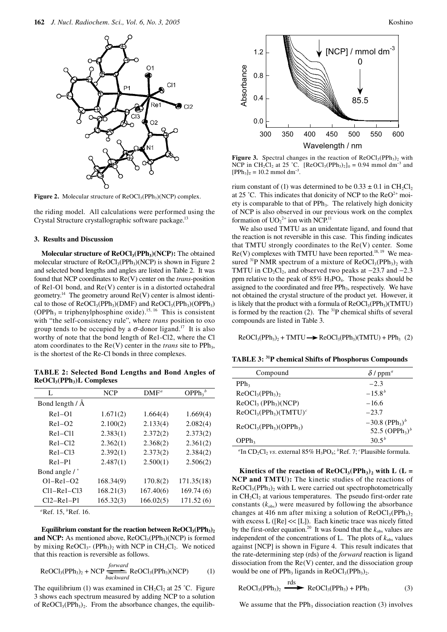

**Figure 2.** Molecular structure of  $ReOCl<sub>3</sub>(PPh<sub>3</sub>)(NCP)$  complex.

the riding model. All calculations were performed using the Crystal Structure crystallographic software package.<sup>13</sup>

#### **3. Results and Discussion**

**Molecular structure of ReOCl<sub>3</sub>(PPh<sub>3</sub>)(NCP):** The obtained molecular structure of  $ReOCl<sub>3</sub>(PPh<sub>3</sub>)(NCP)$  is shown in Figure 2 and selected bond lengths and angles are listed in Table 2. It was found that NCP coordinates to Re(V) center on the *trans*-position of Re1-O1 bond, and Re(V) center is in a distorted octahedral geometry.<sup>14</sup> The geometry around  $Re(V)$  center is almost identical to those of  $ReOCl<sub>3</sub>(PPh<sub>3</sub>)(DMF)$  and  $ReOCl<sub>3</sub>(PPh<sub>3</sub>)(OPPh<sub>3</sub>)$  $(OPPh<sub>3</sub> = triphenylphosphine oxide).$ <sup>15, 16</sup> This is consistent with "the self-consistency rule", where *trans* position to oxo group tends to be occupied by a  $\sigma$ -donor ligand.<sup>17</sup> It is also worthy of note that the bond length of Re1-Cl2, where the Cl atom coordinates to the Re(V) center in the *trans* site to PPh<sub>3</sub>, is the shortest of the Re-Cl bonds in three complexes.

**TABLE 2: Selected Bond Lengths and Bond Angles of ReOCl3(PPh3)L Complexes**

| L                 | <b>NCP</b> | $DMF^a$   | OPPh <sub>3</sub> <sup>b</sup> |
|-------------------|------------|-----------|--------------------------------|
| Bond length / Å   |            |           |                                |
| $Re1 - O1$        | 1.671(2)   | 1.664(4)  | 1.669(4)                       |
| $Re1 - O2$        | 2.100(2)   | 2.133(4)  | 2.082(4)                       |
| $Re1 - Cl1$       | 2.383(1)   | 2.372(2)  | 2.373(2)                       |
| $Re1 - Cl2$       | 2.362(1)   | 2.368(2)  | 2.361(2)                       |
| $Re1 - C13$       | 2.392(1)   | 2.373(2)  | 2.384(2)                       |
| $Re1-P1$          | 2.487(1)   | 2.500(1)  | 2.506(2)                       |
| Bond angle / °    |            |           |                                |
| $O1 - Re1 - O2$   | 168.34(9)  | 170.8(2)  | 171.35(18)                     |
| $Cl1 - Re1 - Cl3$ | 168.21(3)  | 167.40(6) | 169.74(6)                      |
| Cl2–Re1–P1        | 165.32(3)  | 166.02(5) | 171.52(6)                      |

*a* Ref. 15, *<sup>b</sup>* Ref. 16.

**Equilibrium constant for the reaction between**  $ReOCl<sub>3</sub>(PPh<sub>3</sub>)<sub>2</sub>$ **and NCP:** As mentioned above,  $ReOCl<sub>3</sub>(PPh<sub>3</sub>)(NCP)$  is formed by mixing  $ReOCl_3$ - (PPh<sub>3</sub>)<sub>2</sub> with NCP in  $CH_2Cl_2$ . We noticed that this reaction is reversible as follows.

$$
ReOCl3(PPh3)2 + NCP \xrightarrow{forward} ReOCl3(PPh3)(NCP)
$$
 (1)

The equilibrium (1) was examined in  $CH_2Cl_2$  at 25 °C. Figure 3 shows each spectrum measured by adding NCP to a solution of  $ReOCl<sub>3</sub>(PPh<sub>3</sub>)<sub>2</sub>$ . From the absorbance changes, the equilib-

![](_page_1_Figure_12.jpeg)

![](_page_1_Figure_13.jpeg)

**Figure 3.** Spectral changes in the reaction of  $ReOCl<sub>3</sub>(PPh<sub>3</sub>)<sub>2</sub>$  with NCP in CH<sub>2</sub>Cl<sub>2</sub> at 25 °C. [ReOCl<sub>3</sub>(PPh<sub>3</sub>)<sub>2</sub>]<sub>0</sub> = 0.94 mmol dm<sup>-3</sup> and  $[PPh_3]_T = 10.2$  mmol dm<sup>-3</sup> .

rium constant of (1) was determined to be  $0.33 \pm 0.1$  in CH<sub>2</sub>Cl<sub>2</sub> at 25 °C. This indicates that donicity of NCP to the  $\text{Re}O^{2+}$  moiety is comparable to that of PPh<sub>3</sub>. The relatively high donicity of NCP is also observed in our previous work on the complex formation of  $UO_2^{2+}$  ion with NCP.<sup>11</sup>

We also used TMTU as an unidentate ligand, and found that the reaction is not reversible in this case. This finding indicates that TMTU strongly coordinates to the  $Re(V)$  center. Some  $Re(V)$  complexes with TMTU have been reported.<sup>18, 19</sup> We measured <sup>31</sup>P NMR spectrum of a mixture of  $ReOCl<sub>3</sub>(PPh<sub>3</sub>)<sub>2</sub>$  with TMTU in  $CD_2Cl_2$ , and observed two peaks at  $-23.7$  and  $-2.3$ ppm relative to the peak of  $85\%$  H<sub>3</sub>PO<sub>4</sub>. Those peaks should be assigned to the coordinated and free PPh<sub>3</sub>, respectively. We have not obtained the crystal structure of the product yet. However, it is likely that the product with a formula of  $ReOCl<sub>3</sub>(PPh<sub>3</sub>)(TMTU)$ is formed by the reaction (2). The  ${}^{31}P$  chemical shifts of several compounds are listed in Table 3.

 $ReOCl<sub>3</sub>(PPh<sub>3</sub>)<sub>2</sub> + TMTU \rightarrow ReOCl<sub>3</sub>(PPh<sub>3</sub>)(TMTU) + PPh<sub>3</sub>(2)$ 

**TABLE 3: 31P chemical Shifts of Phosphorus Compounds**

| Compound              | $\delta$ / ppm <sup>a</sup>                                                               |
|-----------------------|-------------------------------------------------------------------------------------------|
| PPh <sub>3</sub>      | $-2.3$                                                                                    |
| $ReOCl3(PPh3)2$       | $-15.8^{b}$                                                                               |
| $ReOCl3 (PPh3)(NCP)$  | $-16.6$                                                                                   |
| $ReOCl3(PPh3)(TMTU)c$ | $-23.7$                                                                                   |
| $ReOCl3(PPh3)(OPPh3)$ | $-30.8$ (PPh <sub>3</sub> ) <sup>b</sup><br>52.5 (OPPh <sub>3</sub> ) <sup><i>b</i></sup> |
| OPPh <sub>3</sub>     | $30.5^{b}$                                                                                |

<sup>*a*</sup>In CD<sub>2</sub>Cl<sub>2</sub> *vs*. external 85% H<sub>3</sub>PO<sub>4</sub>; <sup>*b*</sup>Ref. 7; *c*Plausible formula.

Kinetics of the reaction of  $ReOCl<sub>3</sub>(PPh<sub>3</sub>)<sub>2</sub>$  with L (L = **NCP and TMTU):** The kinetic studies of the reactions of  $ReOCl<sub>3</sub>(PPh<sub>3</sub>)<sub>2</sub>$  with L were carried out spectrophotometrically in  $CH_2Cl_2$  at various temperatures. The pseudo first-order rate constants  $(k_{obs})$  were measured by following the absorbance changes at 416 nm after mixing a solution of  $ReOCl<sub>3</sub>(PPh<sub>3</sub>)<sub>2</sub>$ with excess L ([Re] << [L]). Each kinetic trace was nicely fitted by the first-order equation.<sup>20</sup> It was found that the  $k_{obs}$  values are independent of the concentrations of L. The plots of  $k_{obs}$  values against [NCP] is shown in Figure 4. This result indicates that the rate-determining step (rds) of the *forward* reaction is ligand dissociation from the  $Re(V)$  center, and the dissociation group would be one of PPh<sub>3</sub> ligands in  $ReOCl<sub>3</sub>(PPh<sub>3</sub>)<sub>2</sub>$ .

$$
ReOCl3(PPh3)2 \xrightarrow{rds} ReOCl3(PPh3) + PPh3
$$
 (3)

We assume that the PPh<sub>3</sub> dissociation reaction  $(3)$  involves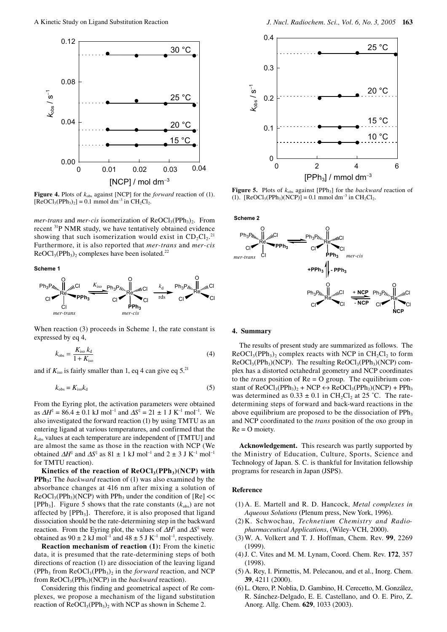![](_page_2_Figure_1.jpeg)

**Figure 4.** Plots of  $k_{obs}$  against [NCP] for the *forward* reaction of (1).  $[Re OCl<sub>3</sub>(PPh<sub>3</sub>)<sub>2</sub>] = 0.1$  mmol dm<sup>-3</sup> in CH<sub>2</sub>Cl<sub>2</sub>.

*mer-trans* and *mer-cis* isomerization of  $ReOCl<sub>3</sub>(PPh<sub>3</sub>)<sub>2</sub>$ . From recent 31P NMR study, we have tentatively obtained evidence showing that such isomerization would exist in  $CD_2Cl_2$ .<sup>21</sup> Furthermore, it is also reported that *mer-trans* and *mer-cis*  $ReOCl<sub>3</sub>(PPh<sub>3</sub>)<sub>2</sub> complexes have been isolated.<sup>22</sup>$ 

#### **Scheme 1**

![](_page_2_Figure_5.jpeg)

When reaction (3) proceeds in Scheme 1, the rate constant is expressed by eq 4,

$$
k_{\text{obs}} = \frac{K_{\text{iso}} k_{\text{d}}}{1 + K_{\text{iso}}} \tag{4}
$$

and if  $K_{\text{iso}}$  is fairly smaller than 1, eq 4 can give eq 5.<sup>21</sup>

$$
k_{\text{obs}} = K_{\text{iso}} k_{\text{d}} \tag{5}
$$

From the Eyring plot, the activation parameters were obtained as  $\Delta H^{\ddagger} = 86.4 \pm 0.1 \text{ kJ} \text{ mol}^{-1}$  and  $\Delta S^{\ddagger} = 21 \pm 1 \text{ J} \text{ K}^{-1} \text{ mol}^{-1}$ . We also investigated the forward reaction (1) by using TMTU as an entering ligand at various temperatures, and confirmed that the *k*obs values at each temperature are independent of [TMTU] and are almost the same as those in the reaction with NCP (We obtained  $\Delta H^{\ddagger}$  and  $\Delta S^{\ddagger}$  as 81 ± 1 kJ mol<sup>-1</sup> and 2 ± 3 J K<sup>-1</sup> mol<sup>-1</sup> for TMTU reaction).

Kinetics of the reaction of  $ReOCl<sub>3</sub>(PPh<sub>3</sub>)(NCP)$  with **PPh<sub>3</sub>:** The *backward* reaction of (1) was also examined by the absorbance changes at 416 nm after mixing a solution of  $ReOCl<sub>3</sub>(PPh<sub>3</sub>)(NCP)$  with PPh<sub>3</sub> under the condition of  $[Re] \ll$ [PPh<sub>3</sub>]. Figure 5 shows that the rate constants  $(k_{obs})$  are not affected by  $[PPh_3]$ . Therefore, it is also proposed that ligand dissociation should be the rate-determining step in the backward reaction. From the Eyring plot, the values of  $\Delta H^{\ddagger}$  and  $\Delta S^{\ddagger}$  were obtained as  $90 \pm 2 \text{ kJ} \text{ mol}^{-1}$  and  $48 \pm 5 \text{ J K}^{-1} \text{ mol}^{-1}$ , respectively.

**Reaction mechanism of reaction (1):** From the kinetic data, it is presumed that the rate-determining steps of both directions of reaction (1) are dissociation of the leaving ligand  $(PPh<sub>3</sub>$  from  $ReOCl<sub>3</sub>(PPh<sub>3</sub>)<sub>2</sub>$  in the *forward* reaction, and NCP from ReOCl<sub>3</sub>(PPh<sub>3</sub>)(NCP) in the *backward* reaction).

Considering this finding and geometrical aspect of Re complexes, we propose a mechanism of the ligand substitution reaction of  $ReOCl<sub>3</sub>(PPh<sub>3</sub>)<sub>2</sub>$  with NCP as shown in Scheme 2.

![](_page_2_Figure_15.jpeg)

**Figure 5.** Plots of  $k_{obs}$  against [PPh<sub>3</sub>] for the *backward* reaction of (1).  $[ReOCl_3(PPh_3)(NCP)] = 0.1$  mmol dm<sup>-3</sup> in CH<sub>2</sub>Cl<sub>2</sub>.

![](_page_2_Figure_17.jpeg)

# **4. Summary**

The results of present study are summarized as follows. The  $ReOCl<sub>3</sub>(PPh<sub>3</sub>)$ , complex reacts with NCP in CH<sub>2</sub>Cl<sub>2</sub> to form  $ReOCl<sub>3</sub>(PPh<sub>3</sub>)(NCP)$ . The resulting  $ReOCl<sub>3</sub>(PPh<sub>3</sub>)(NCP)$  complex has a distorted octahedral geometry and NCP coordinates to the *trans* position of Re = O group. The equilibrium constant of  $ReOCl_3(PPh_3)$ , + NCP  $\leftrightarrow$   $ReOCl_3(PPh_3)(NCP)$  + PPh<sub>3</sub> was determined as  $0.33 \pm 0.1$  in CH<sub>2</sub>Cl<sub>2</sub> at 25 °C. The ratedetermining steps of forward and back-ward reactions in the above equilibrium are proposed to be the dissociation of  $PPh<sub>3</sub>$ and NCP coordinated to the *trans* position of the oxo group in  $Re = O$  moiety.

**Acknowledgement.** This research was partly supported by the Ministry of Education, Culture, Sports, Science and Technology of Japan. S. C. is thankful for Invitation fellowship programs for research in Japan (JSPS).

# **Reference**

- (1) A. E. Martell and R. D. Hancock, *Metal complexes in Aqueous Solutions* (Plenum press, New York, 1996).
- (2) K. Schwochau, *Technetium Chemistry and Radiopharmaceutical Applications*, (Wiley-VCH, 2000).
- (3) W. A. Volkert and T. J. Hoffman, Chem. Rev. **99**, 2269 (1999).
- (4) J. C. Vites and M. M. Lynam, Coord. Chem. Rev. **172**, 357 (1998).
- (5) A. Rey, I. Pirmettis, M. Pelecanou, and et al., Inorg. Chem. **39**, 4211 (2000).
- (6) L. Otero, P. Noblia, D. Gambino, H. Cerecetto, M. González, R. Sánchez-Delgado, E. E. Castellano, and O. E. Piro, Z. Anorg. Allg. Chem. **629**, 1033 (2003).